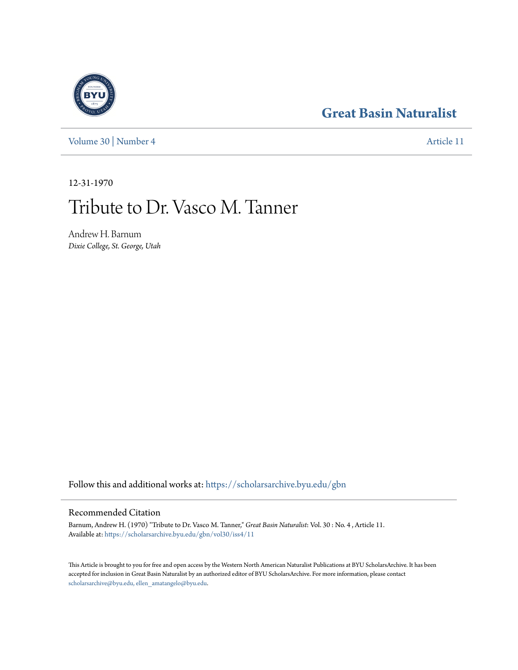# **[Great Basin Naturalist](https://scholarsarchive.byu.edu/gbn?utm_source=scholarsarchive.byu.edu%2Fgbn%2Fvol30%2Fiss4%2F11&utm_medium=PDF&utm_campaign=PDFCoverPages)**

[Volume 30](https://scholarsarchive.byu.edu/gbn/vol30?utm_source=scholarsarchive.byu.edu%2Fgbn%2Fvol30%2Fiss4%2F11&utm_medium=PDF&utm_campaign=PDFCoverPages) | [Number 4](https://scholarsarchive.byu.edu/gbn/vol30/iss4?utm_source=scholarsarchive.byu.edu%2Fgbn%2Fvol30%2Fiss4%2F11&utm_medium=PDF&utm_campaign=PDFCoverPages) [Article 11](https://scholarsarchive.byu.edu/gbn/vol30/iss4/11?utm_source=scholarsarchive.byu.edu%2Fgbn%2Fvol30%2Fiss4%2F11&utm_medium=PDF&utm_campaign=PDFCoverPages)

12-31-1970

# Tribute to Dr. Vasco M. Tanner

Andrew H. Barnum *Dixie College, St. George, Utah*

Follow this and additional works at: [https://scholarsarchive.byu.edu/gbn](https://scholarsarchive.byu.edu/gbn?utm_source=scholarsarchive.byu.edu%2Fgbn%2Fvol30%2Fiss4%2F11&utm_medium=PDF&utm_campaign=PDFCoverPages)

## Recommended Citation

Barnum, Andrew H. (1970) "Tribute to Dr. Vasco M. Tanner," *Great Basin Naturalist*: Vol. 30 : No. 4 , Article 11. Available at: [https://scholarsarchive.byu.edu/gbn/vol30/iss4/11](https://scholarsarchive.byu.edu/gbn/vol30/iss4/11?utm_source=scholarsarchive.byu.edu%2Fgbn%2Fvol30%2Fiss4%2F11&utm_medium=PDF&utm_campaign=PDFCoverPages)

This Article is brought to you for free and open access by the Western North American Naturalist Publications at BYU ScholarsArchive. It has been accepted for inclusion in Great Basin Naturalist by an authorized editor of BYU ScholarsArchive. For more information, please contact [scholarsarchive@byu.edu, ellen\\_amatangelo@byu.edu.](mailto:scholarsarchive@byu.edu,%20ellen_amatangelo@byu.edu)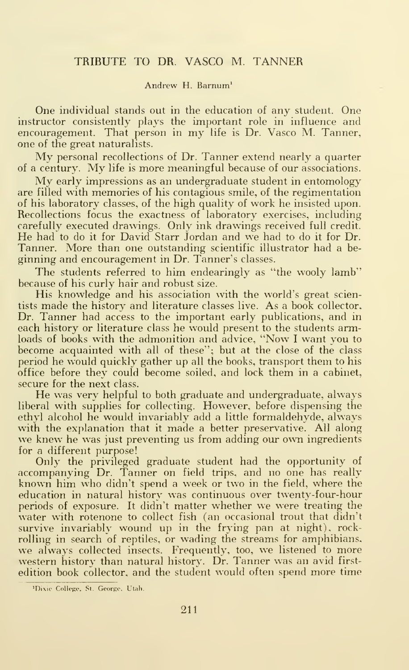### TRIBUTE TO DR. VASCO M. TANNER

#### Andrew H. Barnum'

One individual stands out in the education of any student. One instructor consistently plays the important role in influence and encouragement. That person in my life is Dr. Vasco M. Tanner, one of the great naturalists.

My personal recollections of Dr. Tanner extend nearly a quarter of <sup>a</sup> century. My life is more meaningful because of our associations.

My early impressions as an undergraduate student in entomology are filled with memories of his contagious smile, of the regimentation of his laboratory classes, of the high quality of work he insisted upon. Recollections focus the exactness of laboratory exercises, including carefully executed drawings. Only ink drawings received full credit. He had to do it for David Starr Jordan and we had to do it for Dr. Tanner. More than one outstanding scientific illustrator had a be ginning and encouragement in Dr. Tanner's classes.

The students referred to him endearingly as "the wooly lamb" because of his curly hair and robust size.

His knowledge and his association with the world's great scientists made the history and literature classes live. As <sup>a</sup> book collector. Dr. Tanner had access to the important early publications, and in each history or literature class he would present to the students armloads of books with the admonition and advice, "Now <sup>I</sup> want you to become acquainted with all of these"; but at the close of the class period he would quickly gather up all the books, transport them to his office before they could become soiled, and lock them in a cabinet, secure for the next class.

He was very helpful to both graduate and undergraduate, always liberal with supplies for collecting. However, before dispensing the ethyl alcohol he would invariably add a little formaldehyde, always with the explanation that it made a better preservative. All along we knew he was just preventing us from adding our own ingredients for a different purpose!

Only the privileged graduate student had the opportunity of accompanying Dr. Tanner on field trips, and no one has really known him who didn't spend <sup>a</sup> week or two in the field, where the education in natural history was continuous over twenty-four-hour periods of exposure. It didn't matter whether we were treating the water with rotenone to collect fish (an occasional trout that didn't survive invariably wound up in the frying pan at night), rockrolling in search of reptiles, or wading the streams for amphibians, we always collected insects. Frequently, too, we listened to more western history than natural history. Dr. Tanner was an avid firstedition book collector, and the student would often spend more time

<sup>&#</sup>x27;Dixie College. St. George. Utah.